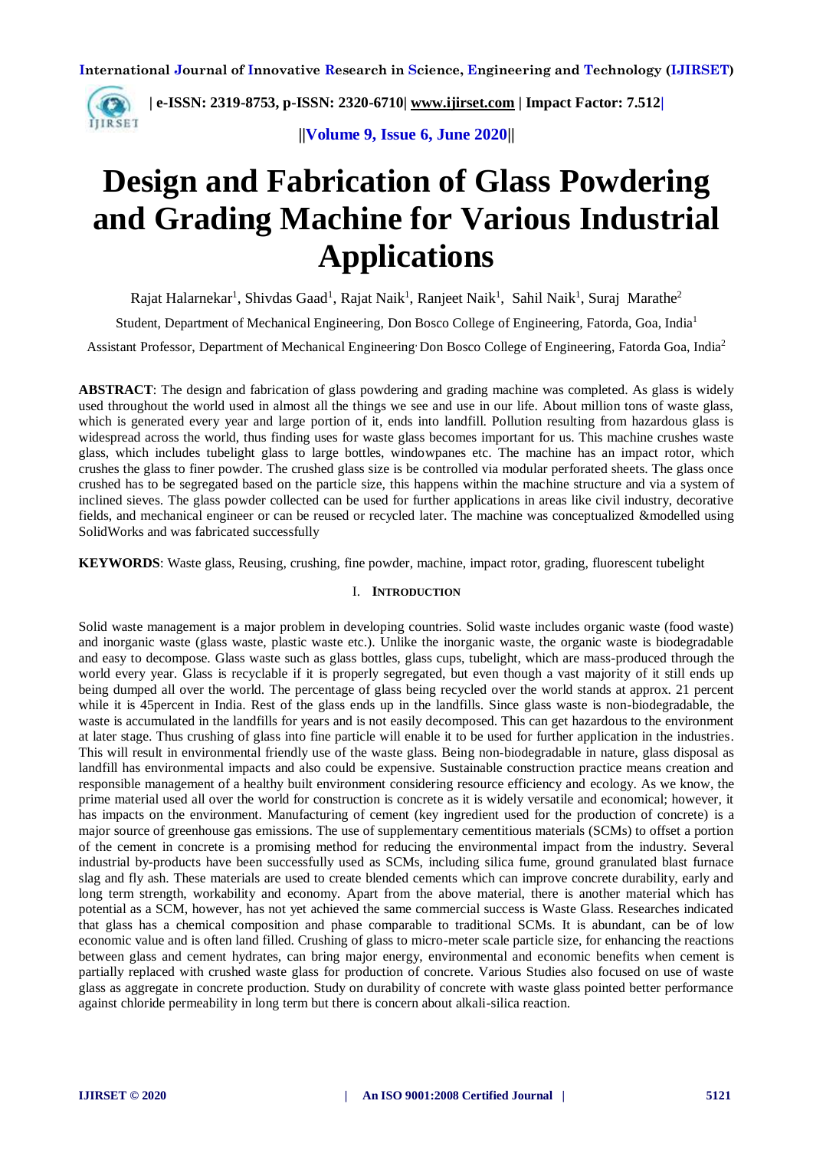

**| e-ISSN: 2319-8753, p-ISSN: 2320-6710[| www.ijirset.com](http://www.ijirset.com/) | Impact Factor: 7.512|**

**||Volume 9, Issue 6, June 2020||** 

# **Design and Fabrication of Glass Powdering and Grading Machine for Various Industrial Applications**

Rajat Halarnekar<sup>1</sup>, Shivdas Gaad<sup>1</sup>, Rajat Naik<sup>1</sup>, Ranjeet Naik<sup>1</sup>, Sahil Naik<sup>1</sup>, Suraj Marathe<sup>2</sup>

Student, Department of Mechanical Engineering, Don Bosco College of Engineering, Fatorda, Goa, India<sup>1</sup>

Assistant Professor, Department of Mechanical Engineering, Don Bosco College of Engineering, Fatorda Goa, India<sup>2</sup>

**ABSTRACT**: The design and fabrication of glass powdering and grading machine was completed. As glass is widely used throughout the world used in almost all the things we see and use in our life. About million tons of waste glass, which is generated every year and large portion of it, ends into landfill. Pollution resulting from hazardous glass is widespread across the world, thus finding uses for waste glass becomes important for us. This machine crushes waste glass, which includes tubelight glass to large bottles, windowpanes etc. The machine has an impact rotor, which crushes the glass to finer powder. The crushed glass size is be controlled via modular perforated sheets. The glass once crushed has to be segregated based on the particle size, this happens within the machine structure and via a system of inclined sieves. The glass powder collected can be used for further applications in areas like civil industry, decorative fields, and mechanical engineer or can be reused or recycled later. The machine was conceptualized &modelled using SolidWorks and was fabricated successfully

**KEYWORDS**: Waste glass, Reusing, crushing, fine powder, machine, impact rotor, grading, fluorescent tubelight

#### I. **INTRODUCTION**

Solid waste management is a major problem in developing countries. Solid waste includes organic waste (food waste) and inorganic waste (glass waste, plastic waste etc.). Unlike the inorganic waste, the organic waste is biodegradable and easy to decompose. Glass waste such as glass bottles, glass cups, tubelight, which are mass-produced through the world every year. Glass is recyclable if it is properly segregated, but even though a vast majority of it still ends up being dumped all over the world. The percentage of glass being recycled over the world stands at approx. 21 percent while it is 45 percent in India. Rest of the glass ends up in the landfills. Since glass waste is non-biodegradable, the waste is accumulated in the landfills for years and is not easily decomposed. This can get hazardous to the environment at later stage. Thus crushing of glass into fine particle will enable it to be used for further application in the industries. This will result in environmental friendly use of the waste glass. Being non-biodegradable in nature, glass disposal as landfill has environmental impacts and also could be expensive. Sustainable construction practice means creation and responsible management of a healthy built environment considering resource efficiency and ecology. As we know, the prime material used all over the world for construction is concrete as it is widely versatile and economical; however, it has impacts on the environment. Manufacturing of cement (key ingredient used for the production of concrete) is a major source of greenhouse gas emissions. The use of supplementary cementitious materials (SCMs) to offset a portion of the cement in concrete is a promising method for reducing the environmental impact from the industry. Several industrial by-products have been successfully used as SCMs, including silica fume, ground granulated blast furnace slag and fly ash. These materials are used to create blended cements which can improve concrete durability, early and long term strength, workability and economy. Apart from the above material, there is another material which has potential as a SCM, however, has not yet achieved the same commercial success is Waste Glass. Researches indicated that glass has a chemical composition and phase comparable to traditional SCMs. It is abundant, can be of low economic value and is often land filled. Crushing of glass to micro-meter scale particle size, for enhancing the reactions between glass and cement hydrates, can bring major energy, environmental and economic benefits when cement is partially replaced with crushed waste glass for production of concrete. Various Studies also focused on use of waste glass as aggregate in concrete production. Study on durability of concrete with waste glass pointed better performance against chloride permeability in long term but there is concern about alkali-silica reaction.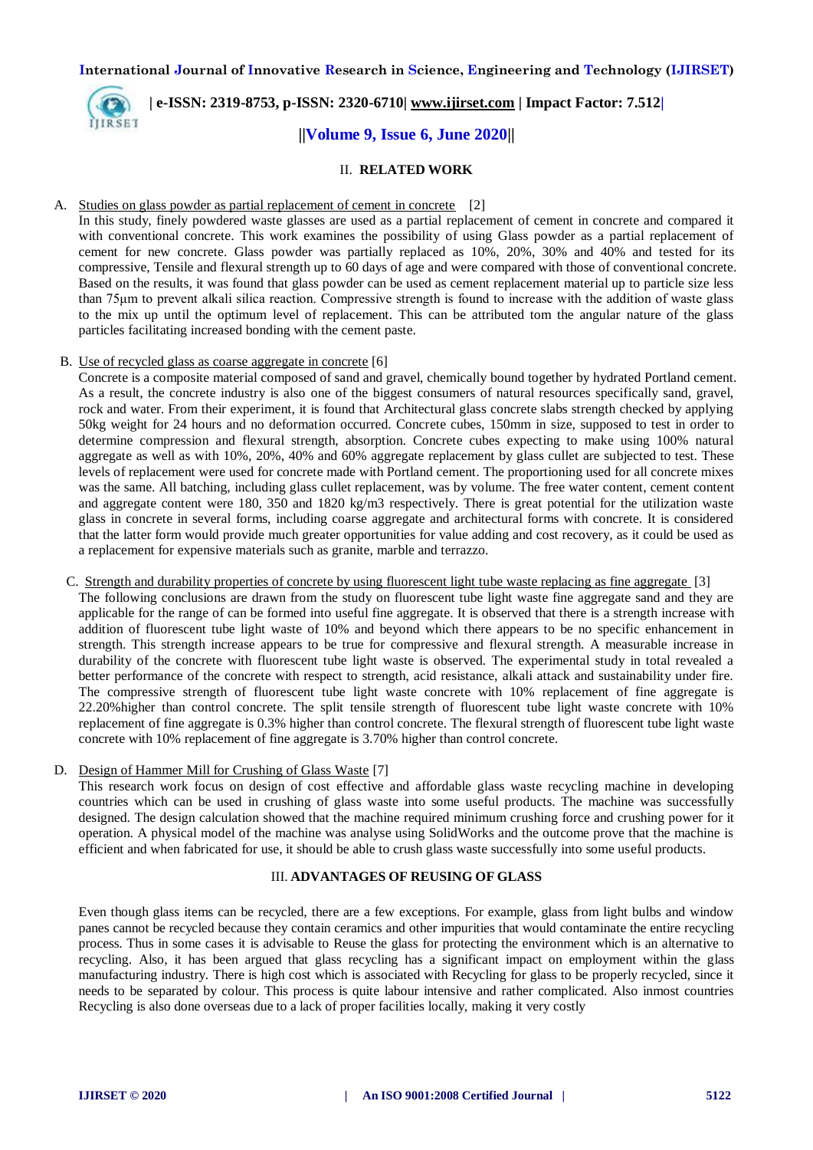

# **| e-ISSN: 2319-8753, p-ISSN: 2320-6710[| www.ijirset.com](http://www.ijirset.com/) | Impact Factor: 7.512| ||Volume 9, Issue 6, June 2020||**

#### II. **RELATED WORK**

#### A. Studies on glass powder as partial replacement of cement in concrete [2]

In this study, finely powdered waste glasses are used as a partial replacement of cement in concrete and compared it with conventional concrete. This work examines the possibility of using Glass powder as a partial replacement of cement for new concrete. Glass powder was partially replaced as 10%, 20%, 30% and 40% and tested for its compressive, Tensile and flexural strength up to 60 days of age and were compared with those of conventional concrete. Based on the results, it was found that glass powder can be used as cement replacement material up to particle size less than 75μm to prevent alkali silica reaction. Compressive strength is found to increase with the addition of waste glass to the mix up until the optimum level of replacement. This can be attributed tom the angular nature of the glass particles facilitating increased bonding with the cement paste.

#### B. Use of recycled glass as coarse aggregate in concrete [6]

Concrete is a composite material composed of sand and gravel, chemically bound together by hydrated Portland cement. As a result, the concrete industry is also one of the biggest consumers of natural resources specifically sand, gravel, rock and water. From their experiment, it is found that Architectural glass concrete slabs strength checked by applying 50kg weight for 24 hours and no deformation occurred. Concrete cubes, 150mm in size, supposed to test in order to determine compression and flexural strength, absorption. Concrete cubes expecting to make using 100% natural aggregate as well as with 10%, 20%, 40% and 60% aggregate replacement by glass cullet are subjected to test. These levels of replacement were used for concrete made with Portland cement. The proportioning used for all concrete mixes was the same. All batching, including glass cullet replacement, was by volume. The free water content, cement content and aggregate content were 180, 350 and 1820 kg/m3 respectively. There is great potential for the utilization waste glass in concrete in several forms, including coarse aggregate and architectural forms with concrete. It is considered that the latter form would provide much greater opportunities for value adding and cost recovery, as it could be used as a replacement for expensive materials such as granite, marble and terrazzo.

C. Strength and durability properties of concrete by using fluorescent light tube waste replacing as fine aggregate [3] The following conclusions are drawn from the study on fluorescent tube light waste fine aggregate sand and they are applicable for the range of can be formed into useful fine aggregate. It is observed that there is a strength increase with

addition of fluorescent tube light waste of 10% and beyond which there appears to be no specific enhancement in strength. This strength increase appears to be true for compressive and flexural strength. A measurable increase in durability of the concrete with fluorescent tube light waste is observed. The experimental study in total revealed a better performance of the concrete with respect to strength, acid resistance, alkali attack and sustainability under fire. The compressive strength of fluorescent tube light waste concrete with 10% replacement of fine aggregate is 22.20%higher than control concrete. The split tensile strength of fluorescent tube light waste concrete with 10% replacement of fine aggregate is 0.3% higher than control concrete. The flexural strength of fluorescent tube light waste concrete with 10% replacement of fine aggregate is 3.70% higher than control concrete.

#### D. Design of Hammer Mill for Crushing of Glass Waste [7]

This research work focus on design of cost effective and affordable glass waste recycling machine in developing countries which can be used in crushing of glass waste into some useful products. The machine was successfully designed. The design calculation showed that the machine required minimum crushing force and crushing power for it operation. A physical model of the machine was analyse using SolidWorks and the outcome prove that the machine is efficient and when fabricated for use, it should be able to crush glass waste successfully into some useful products.

#### III. **ADVANTAGES OF REUSING OF GLASS**

Even though glass items can be recycled, there are a few exceptions. For example, glass from light bulbs and window panes cannot be recycled because they contain ceramics and other impurities that would contaminate the entire recycling process. Thus in some cases it is advisable to Reuse the glass for protecting the environment which is an alternative to recycling. Also, it has been argued that glass recycling has a significant impact on employment within the glass manufacturing industry. There is high cost which is associated with Recycling for glass to be properly recycled, since it needs to be separated by colour. This process is quite labour intensive and rather complicated. Also inmost countries Recycling is also done overseas due to a lack of proper facilities locally, making it very costly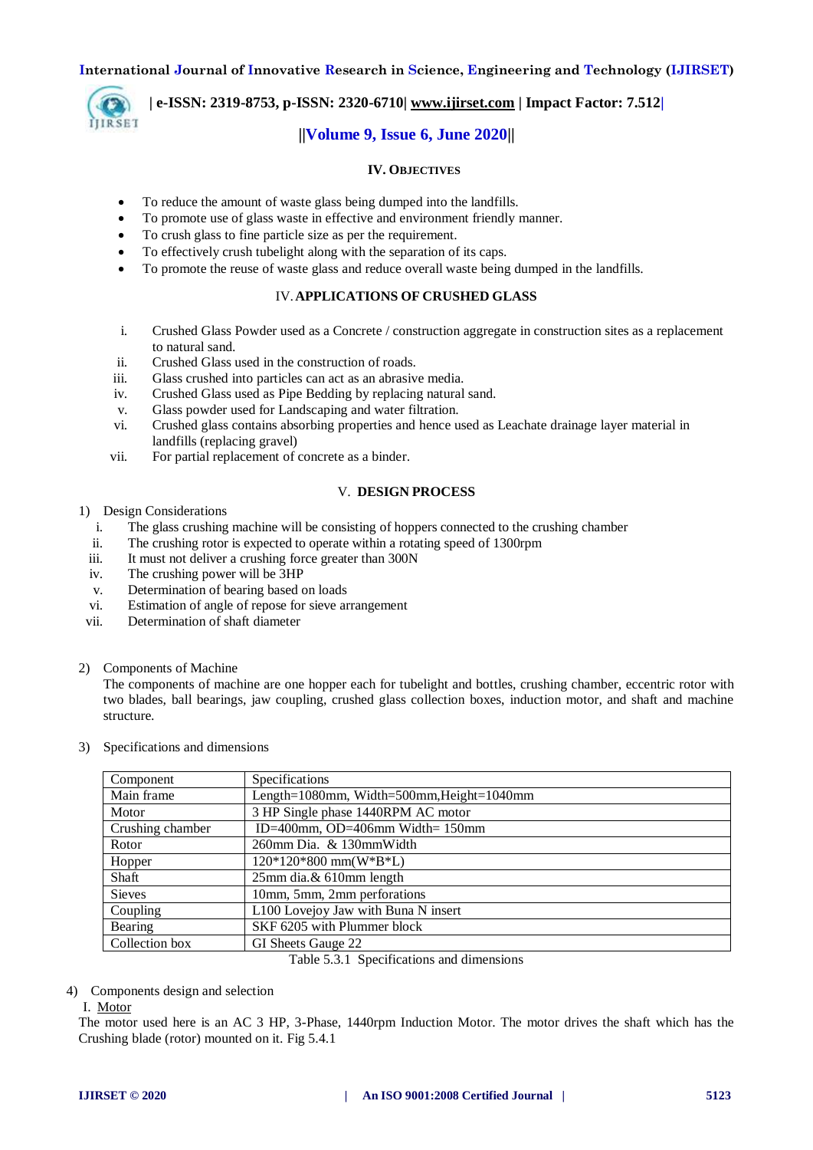

**| e-ISSN: 2319-8753, p-ISSN: 2320-6710[| www.ijirset.com](http://www.ijirset.com/) | Impact Factor: 7.512|**

# **||Volume 9, Issue 6, June 2020||**

#### **IV. OBJECTIVES**

- To reduce the amount of waste glass being dumped into the landfills.
- To promote use of glass waste in effective and environment friendly manner.
- To crush glass to fine particle size as per the requirement.
- To effectively crush tubelight along with the separation of its caps.
- To promote the reuse of waste glass and reduce overall waste being dumped in the landfills.

#### IV.**APPLICATIONS OF CRUSHED GLASS**

- i. Crushed Glass Powder used as a Concrete / construction aggregate in construction sites as a replacement to natural sand.
- ii. Crushed Glass used in the construction of roads.
- iii. Glass crushed into particles can act as an abrasive media.
- iv. Crushed Glass used as Pipe Bedding by replacing natural sand.
- v. Glass powder used for Landscaping and water filtration.
- vi. Crushed glass contains absorbing properties and hence used as Leachate drainage layer material in landfills (replacing gravel)
- vii. For partial replacement of concrete as a binder.

#### V. **DESIGN PROCESS**

#### 1) Design Considerations

- i. The glass crushing machine will be consisting of hoppers connected to the crushing chamber
- ii. The crushing rotor is expected to operate within a rotating speed of 1300rpm
- iii. It must not deliver a crushing force greater than 300N
- iv. The crushing power will be 3HP
- v. Determination of bearing based on loads
- vi. Estimation of angle of repose for sieve arrangement
- vii. Determination of shaft diameter
- 2) Components of Machine

The components of machine are one hopper each for tubelight and bottles, crushing chamber, eccentric rotor with two blades, ball bearings, jaw coupling, crushed glass collection boxes, induction motor, and shaft and machine structure.

3) Specifications and dimensions

| Specifications                            |
|-------------------------------------------|
| Length=1080mm, Width=500mm, Height=1040mm |
| 3 HP Single phase 1440RPM AC motor        |
| ID=400mm, OD=406mm Width= $150$ mm        |
| 260mm Dia. & 130mm Width                  |
| $120*120*800$ mm(W*B*L)                   |
| 25mm dia.& 610mm length                   |
| 10mm, 5mm, 2mm perforations               |
| L100 Lovejoy Jaw with Buna N insert       |
| SKF 6205 with Plummer block               |
| GI Sheets Gauge 22                        |
|                                           |

Table 5.3.1 Specifications and dimensions

#### 4) Components design and selection

#### I. Motor

The motor used here is an AC 3 HP, 3-Phase, 1440rpm Induction Motor. The motor drives the shaft which has the Crushing blade (rotor) mounted on it. Fig 5.4.1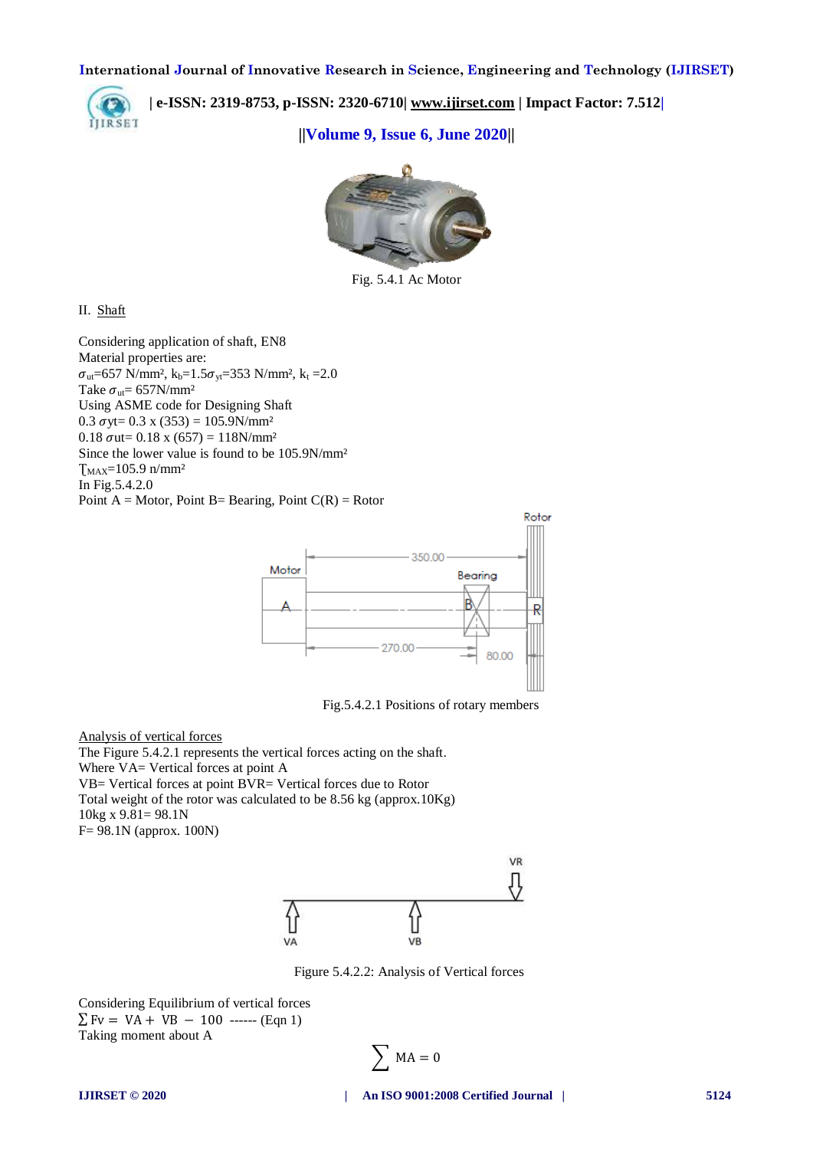

**| e-ISSN: 2319-8753, p-ISSN: 2320-6710[| www.ijirset.com](http://www.ijirset.com/) | Impact Factor: 7.512|**

**||Volume 9, Issue 6, June 2020||** 



Fig. 5.4.1 Ac Motor

#### II. Shaft

Considering application of shaft, EN8 Material properties are:  $\sigma_{ut}$ =657 N/mm<sup>2</sup>, k<sub>b</sub>=1.5 $\sigma_{vt}$ =353 N/mm<sup>2</sup>, k<sub>t</sub> =2.0 Take  $\sigma_{\rm ut}$ = 657N/mm<sup>2</sup> Using ASME code for Designing Shaft 0.3  $\sigma$ yt= 0.3 x (353) = 105.9N/mm<sup>2</sup>  $0.18 \text{ out} = 0.18 \text{ x } (657) = 118 \text{ N/mm}^2$ Since the lower value is found to be 105.9N/mm²  $T_{MAX}=105.9 \text{ n/mm}^2$ In Fig.5.4.2.0 Point  $A = Motor$ , Point B= Bearing, Point  $C(R) = Rotor$ 



Fig.5.4.2.1 Positions of rotary members

Analysis of vertical forces

The Figure 5.4.2.1 represents the vertical forces acting on the shaft. Where VA= Vertical forces at point A VB= Vertical forces at point BVR= Vertical forces due to Rotor Total weight of the rotor was calculated to be 8.56 kg (approx.10Kg) 10kg x 9.81= 98.1N F= 98.1N (approx. 100N)



Figure 5.4.2.2: Analysis of Vertical forces

Considering Equilibrium of vertical forces  $\Sigma$  Fv = VA + VB - 100 ------ (Eqn 1) Taking moment about A

$$
\sum MA = 0
$$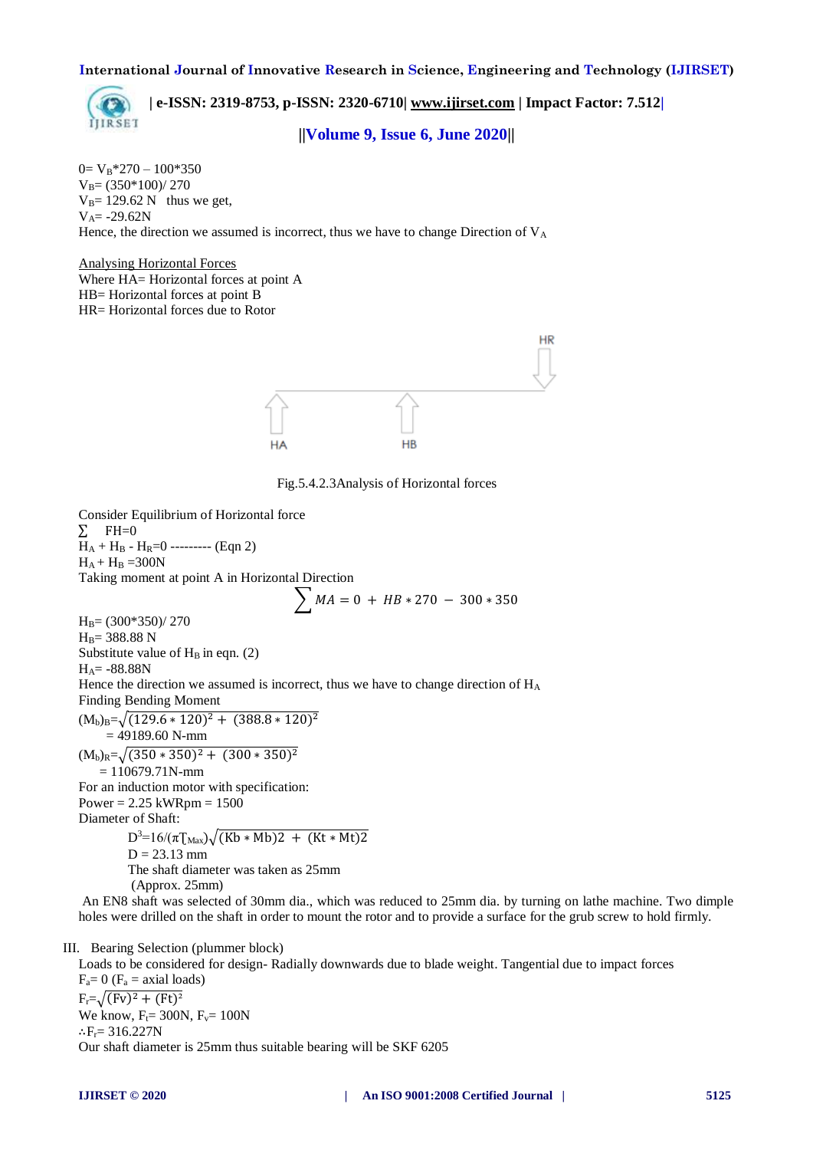**IIIRSET** 

**| e-ISSN: 2319-8753, p-ISSN: 2320-6710[| www.ijirset.com](http://www.ijirset.com/) | Impact Factor: 7.512|**

**||Volume 9, Issue 6, June 2020||** 

 $0=V_B*270-100*350$  $V_B = (350*100)/270$  $V_B$ = 129.62 N thus we get,  $V_A = -29.62N$ Hence, the direction we assumed is incorrect, thus we have to change Direction of  $V_A$ 

Analysing Horizontal Forces Where HA= Horizontal forces at point A HB= Horizontal forces at point B HR= Horizontal forces due to Rotor



Fig.5.4.2.3Analysis of Horizontal forces

Consider Equilibrium of Horizontal force  $\Sigma$  FH=0  $H_A + H_B - H_R = 0$  --------- (Eqn 2)  $H_A + H_B = 300N$ Taking moment at point A in Horizontal Direction  $\sum MA = 0 + HB * 270 - 300 * 350$  $H_B = (300*350)/270$  $H_B = 388.88 N$ Substitute value of  $H_B$  in eqn. (2)  $H_A = -88.88N$ Hence the direction we assumed is incorrect, thus we have to change direction of H<sub>A</sub> Finding Bending Moment  $(M_b)_B = \sqrt{(129.6 * 120)^2 + (388.8 * 120)^2}$  $= 49189.60$  N-mm  $(M_b)_{R}=\sqrt{(350*350)^2+(300*350)^2}$  $= 110679.71N$ -mm For an induction motor with specification: Power =  $2.25$  kWRpm =  $1500$ Diameter of Shaft:  $D^3=16/(\pi T_{\text{Max}})\sqrt{(Kb*Mb)2 + (Kt*Mt)2}$  $D = 23.13$  mm The shaft diameter was taken as 25mm (Approx. 25mm)

An EN8 shaft was selected of 30mm dia., which was reduced to 25mm dia. by turning on lathe machine. Two dimple holes were drilled on the shaft in order to mount the rotor and to provide a surface for the grub screw to hold firmly.

#### III. Bearing Selection (plummer block)

Loads to be considered for design- Radially downwards due to blade weight. Tangential due to impact forces  $F_a = 0$  ( $F_a = axial$  loads)  $F_r = \sqrt{(Fv)^2 + (Ft)^2}$ We know,  $F_t = 300N$ ,  $F_v = 100N$ ∴ $F_r = 316.227N$ Our shaft diameter is 25mm thus suitable bearing will be SKF 6205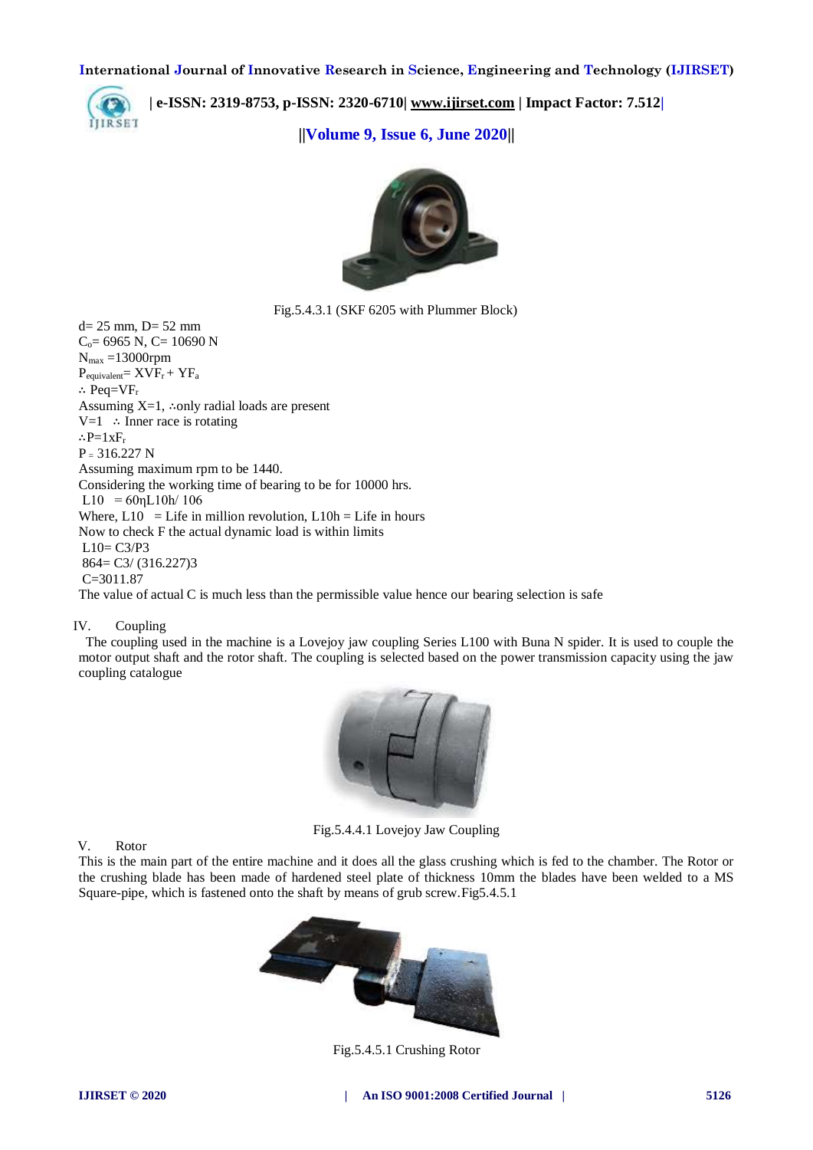

**| e-ISSN: 2319-8753, p-ISSN: 2320-6710[| www.ijirset.com](http://www.ijirset.com/) | Impact Factor: 7.512|**

**||Volume 9, Issue 6, June 2020||** 



Fig.5.4.3.1 (SKF 6205 with Plummer Block)

 $d= 25$  mm,  $D= 52$  mm  $C_0$ = 6965 N, C= 10690 N  $N_{max}$  =13000rpm  $P_{equivalent} = XVF_r + YF_a$ ∴ Peq= $VF_r$ Assuming  $X=1$ , ∴only radial loads are present V=1 ∴ Inner race is rotating ∴P= $1xF_r$  $P = 316.227 N$ Assuming maximum rpm to be 1440. Considering the working time of bearing to be for 10000 hrs.  $L10 = 60 \eta L10h/106$ Where,  $L10 = L$ ife in million revolution,  $L10h = L$ ife in hours Now to check F the actual dynamic load is within limits  $L10= C3/P3$ 864= C3/ (316.227)3 C=3011.87 The value of actual C is much less than the permissible value hence our bearing selection is safe

#### IV. Coupling

 The coupling used in the machine is a Lovejoy jaw coupling Series L100 with Buna N spider. It is used to couple the motor output shaft and the rotor shaft. The coupling is selected based on the power transmission capacity using the jaw coupling catalogue



Fig.5.4.4.1 Lovejoy Jaw Coupling

V. Rotor

This is the main part of the entire machine and it does all the glass crushing which is fed to the chamber. The Rotor or the crushing blade has been made of hardened steel plate of thickness 10mm the blades have been welded to a MS Square-pipe, which is fastened onto the shaft by means of grub screw.Fig5.4.5.1



Fig.5.4.5.1 Crushing Rotor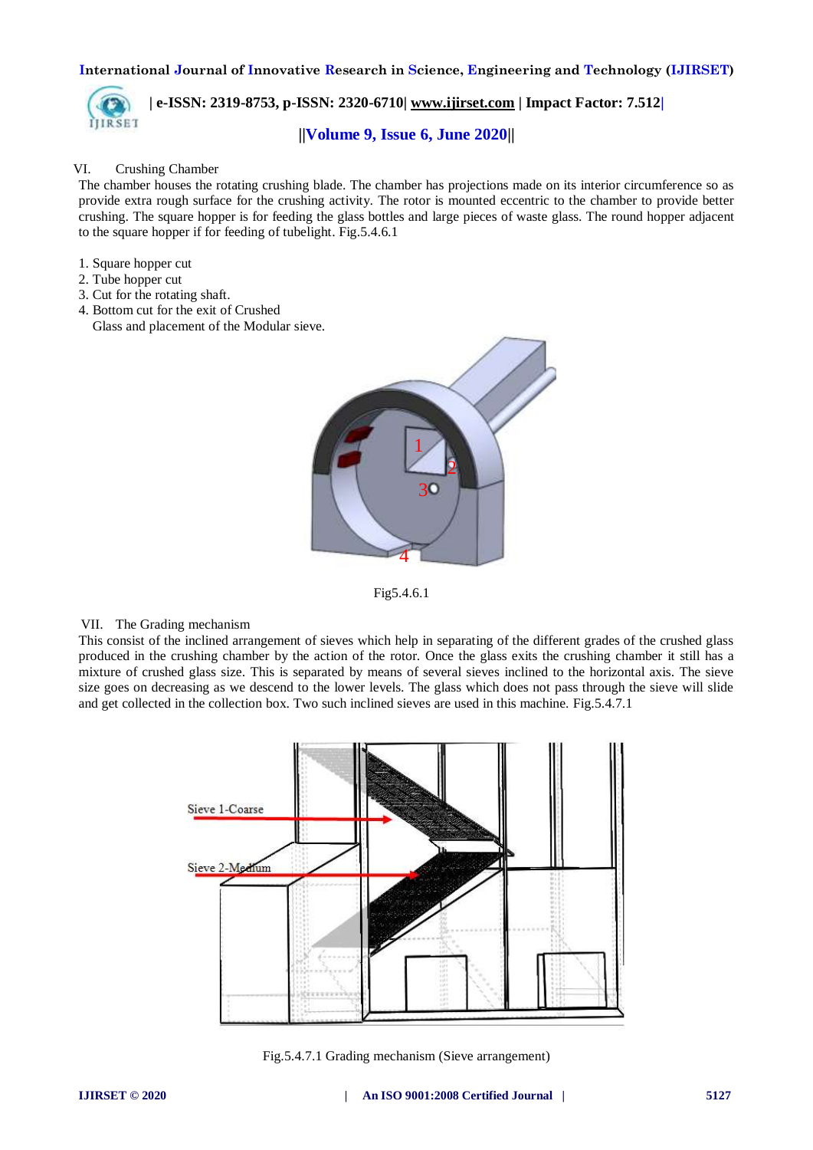

**| e-ISSN: 2319-8753, p-ISSN: 2320-6710[| www.ijirset.com](http://www.ijirset.com/) | Impact Factor: 7.512| ||Volume 9, Issue 6, June 2020||** 

#### VI. Crushing Chamber

The chamber houses the rotating crushing blade. The chamber has projections made on its interior circumference so as provide extra rough surface for the crushing activity. The rotor is mounted eccentric to the chamber to provide better crushing. The square hopper is for feeding the glass bottles and large pieces of waste glass. The round hopper adjacent to the square hopper if for feeding of tubelight. Fig.5.4.6.1

- 1. Square hopper cut
- 2. Tube hopper cut
- 3. Cut for the rotating shaft.
- 4. Bottom cut for the exit of Crushed
- Glass and placement of the Modular sieve.



Fig5.4.6.1

#### VII. The Grading mechanism

This consist of the inclined arrangement of sieves which help in separating of the different grades of the crushed glass produced in the crushing chamber by the action of the rotor. Once the glass exits the crushing chamber it still has a mixture of crushed glass size. This is separated by means of several sieves inclined to the horizontal axis. The sieve size goes on decreasing as we descend to the lower levels. The glass which does not pass through the sieve will slide and get collected in the collection box. Two such inclined sieves are used in this machine. Fig.5.4.7.1



Fig.5.4.7.1 Grading mechanism (Sieve arrangement)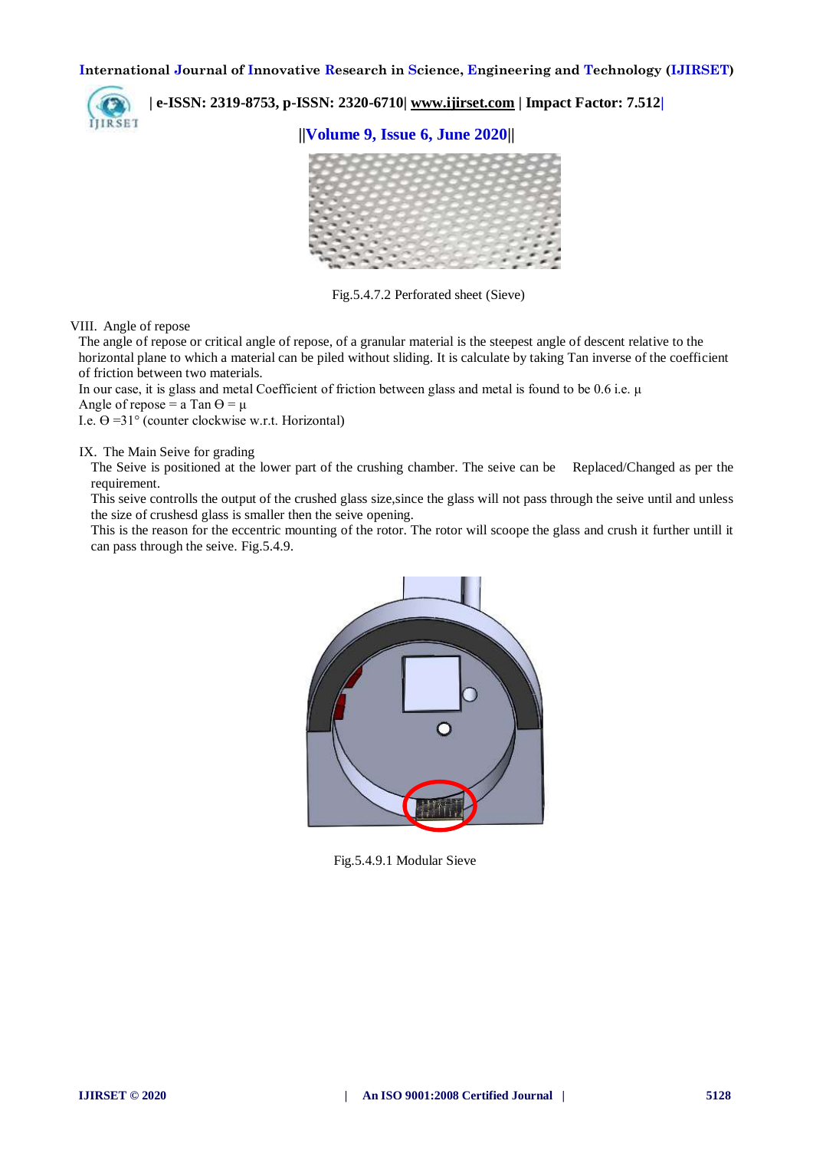

**| e-ISSN: 2319-8753, p-ISSN: 2320-6710[| www.ijirset.com](http://www.ijirset.com/) | Impact Factor: 7.512|**

**||Volume 9, Issue 6, June 2020||** 



Fig.5.4.7.2 Perforated sheet (Sieve)

VIII. Angle of repose

The angle of repose or critical angle of repose, of a granular material is the steepest angle of descent relative to the horizontal plane to which a material can be piled without sliding. It is calculate by taking Tan inverse of the coefficient of friction between two materials.

In our case, it is glass and metal Coefficient of friction between glass and metal is found to be 0.6 i.e. μ

Angle of repose = a Tan  $\Theta = \mu$ 

I.e.  $\Theta = 31^{\circ}$  (counter clockwise w.r.t. Horizontal)

IX. The Main Seive for grading

The Seive is positioned at the lower part of the crushing chamber. The seive can be Replaced/Changed as per the requirement.

This seive controlls the output of the crushed glass size,since the glass will not pass through the seive until and unless the size of crushesd glass is smaller then the seive opening.

This is the reason for the eccentric mounting of the rotor. The rotor will scoope the glass and crush it further untill it can pass through the seive. Fig.5.4.9.



Fig.5.4.9.1 Modular Sieve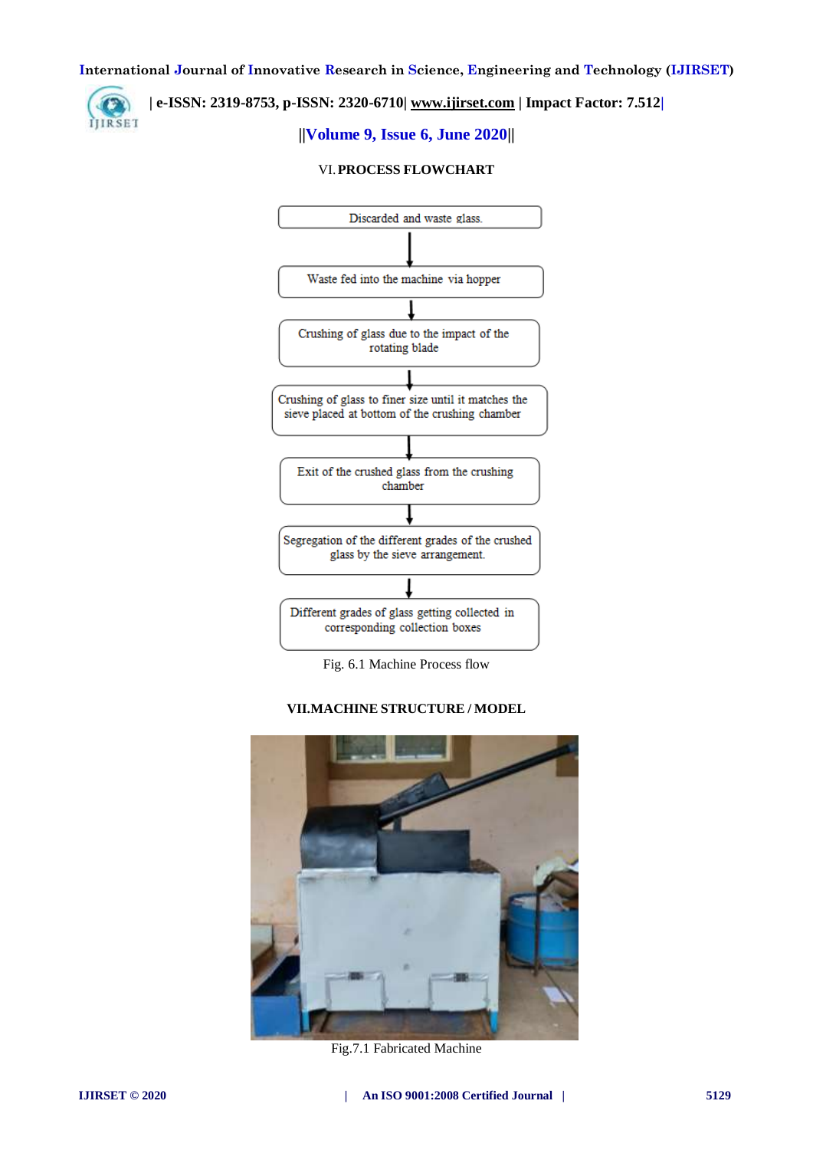## **| e-ISSN: 2319-8753, p-ISSN: 2320-6710[| www.ijirset.com](http://www.ijirset.com/) | Impact Factor: 7.512|**

# **||Volume 9, Issue 6, June 2020||**

#### VI.**PROCESS FLOWCHART**



Fig. 6.1 Machine Process flow

#### **VII.MACHINE STRUCTURE / MODEL**



Fig.7.1 Fabricated Machine

**IJIRSET**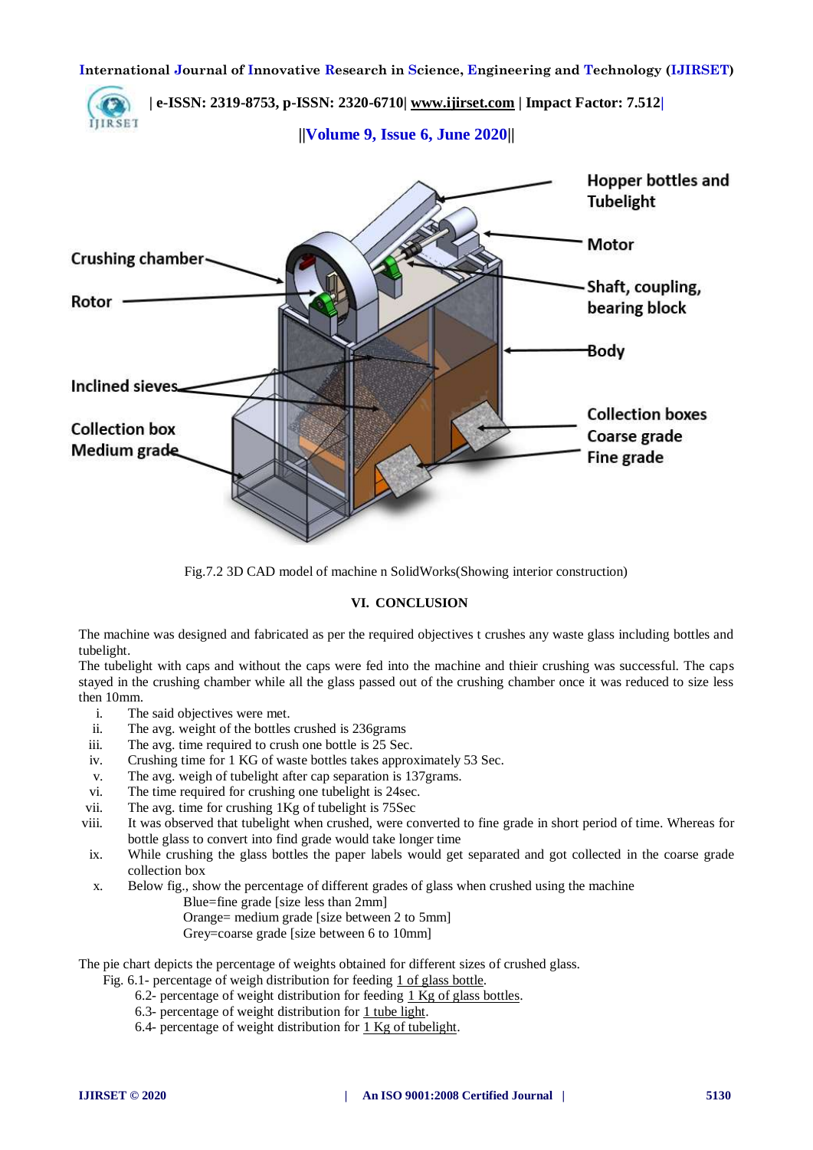



Fig.7.2 3D CAD model of machine n SolidWorks(Showing interior construction)

## **VI. CONCLUSION**

The machine was designed and fabricated as per the required objectives t crushes any waste glass including bottles and tubelight.

The tubelight with caps and without the caps were fed into the machine and thieir crushing was successful. The caps stayed in the crushing chamber while all the glass passed out of the crushing chamber once it was reduced to size less then 10mm.

- i. The said objectives were met.
- ii. The avg. weight of the bottles crushed is 236grams
- iii. The avg. time required to crush one bottle is 25 Sec.
- iv. Crushing time for 1 KG of waste bottles takes approximately 53 Sec.
- v. The avg. weigh of tubelight after cap separation is 137grams.
- vi. The time required for crushing one tubelight is 24sec.
- vii. The avg. time for crushing 1Kg of tubelight is 75Sec
- viii. It was observed that tubelight when crushed, were converted to fine grade in short period of time. Whereas for bottle glass to convert into find grade would take longer time
- ix. While crushing the glass bottles the paper labels would get separated and got collected in the coarse grade collection box
- x. Below fig., show the percentage of different grades of glass when crushed using the machine
	- Blue=fine grade [size less than 2mm]
	- Orange= medium grade [size between 2 to 5mm]
	- Grey=coarse grade [size between 6 to 10mm]

The pie chart depicts the percentage of weights obtained for different sizes of crushed glass.

- Fig. 6.1- percentage of weigh distribution for feeding 1 of glass bottle.
	- 6.2- percentage of weight distribution for feeding 1 Kg of glass bottles.
	- 6.3- percentage of weight distribution for 1 tube light.
	- 6.4- percentage of weight distribution for 1 Kg of tubelight.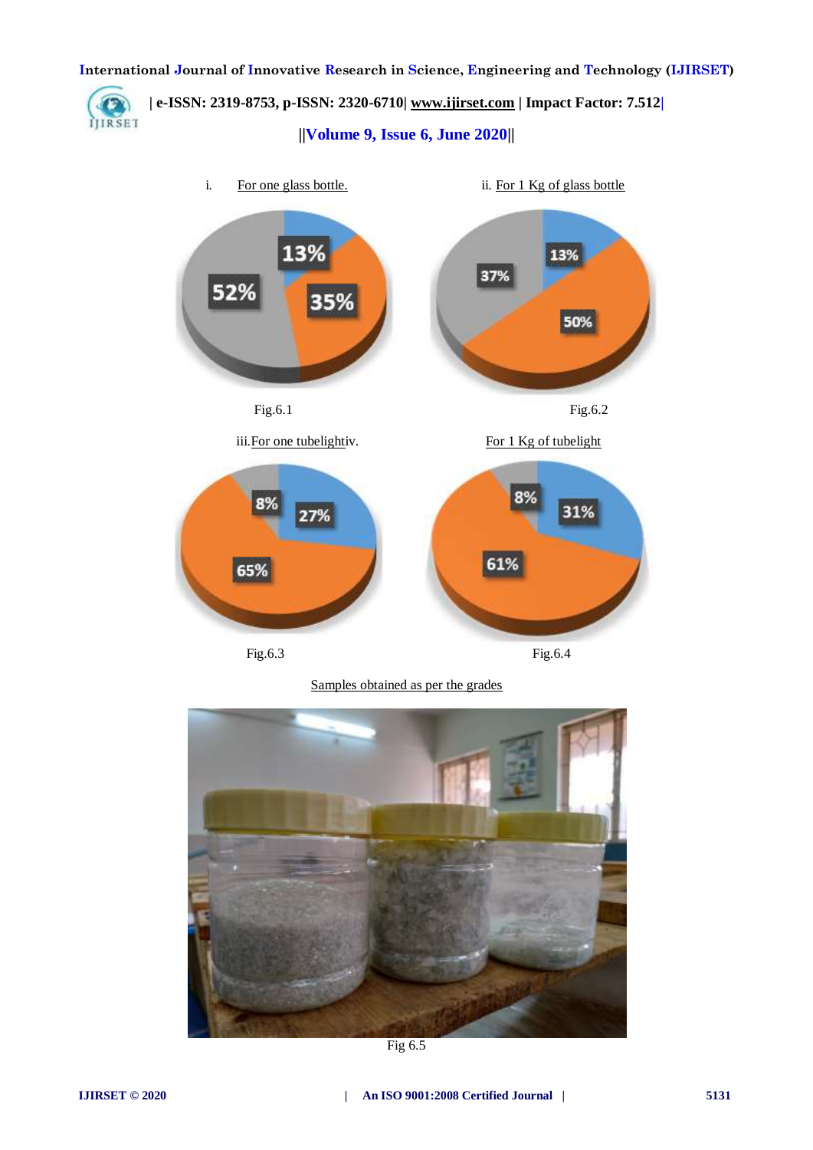

**| e-ISSN: 2319-8753, p-ISSN: 2320-6710[| www.ijirset.com](http://www.ijirset.com/) | Impact Factor: 7.512| ||Volume 9, Issue 6, June 2020||** 



65% Fig.6.3 Fig.6.4

61%

Samples obtained as per the grades



Fig 6.5